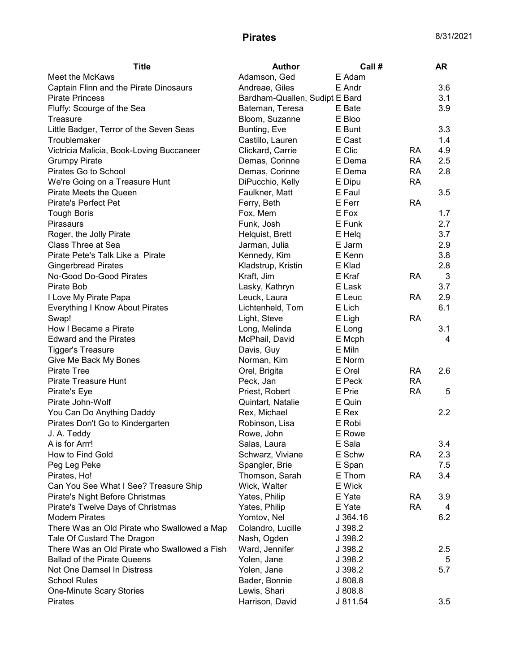| Meet the McKaws<br>Adamson, Ged<br>E Adam<br>Captain Flinn and the Pirate Dinosaurs<br>E Andr<br>3.6<br>Andreae, Giles<br>3.1<br><b>Pirate Princess</b><br>Bardham-Quallen, Sudipt E Bard<br>Bateman, Teresa<br>3.9<br>Fluffy: Scourge of the Sea<br>E Bate<br>Bloom, Suzanne<br>E Bloo<br>Treasure<br>3.3<br>E Bunt<br>Little Badger, Terror of the Seven Seas<br>Bunting, Eve<br>Troublemaker<br>E Cast<br>1.4<br>Castillo, Lauren<br>Clickard, Carrie<br>E Clic<br>4.9<br>Victricia Malicia, Book-Loving Buccaneer<br>RA<br>E Dema<br><b>RA</b><br>2.5<br><b>Grumpy Pirate</b><br>Demas, Corinne<br>Pirates Go to School<br>Demas, Corinne<br>E Dema<br><b>RA</b><br>2.8<br>DiPucchio, Kelly<br><b>RA</b><br>We're Going on a Treasure Hunt<br>E Dipu<br>3.5<br>Pirate Meets the Queen<br>Faulkner, Matt<br>E Faul<br><b>Pirate's Perfect Pet</b><br>Ferry, Beth<br>E Ferr<br><b>RA</b><br>E Fox<br>1.7<br><b>Tough Boris</b><br>Fox, Mem<br>2.7<br>E Funk<br><b>Pirasaurs</b><br>Funk, Josh<br>3.7<br>Roger, the Jolly Pirate<br>E Helg<br>Helquist, Brett<br><b>Class Three at Sea</b><br>E Jarm<br>2.9<br>Jarman, Julia<br>3.8<br>Pirate Pete's Talk Like a Pirate<br>Kennedy, Kim<br>E Kenn<br>Kladstrup, Kristin<br>E Klad<br>2.8<br><b>Gingerbread Pirates</b><br>No-Good Do-Good Pirates<br>E Kraf<br><b>RA</b><br>3<br>Kraft, Jim<br>3.7<br>Pirate Bob<br>Lasky, Kathryn<br>E Lask<br>2.9<br>I Love My Pirate Papa<br>Leuck, Laura<br>E Leuc<br>RA<br>6.1<br>Everything I Know About Pirates<br>Lichtenheld, Tom<br>E Lich<br><b>RA</b><br>Swap!<br>Light, Steve<br>E Ligh<br>How I Became a Pirate<br>3.1<br>Long, Melinda<br>E Long<br><b>Edward and the Pirates</b><br>McPhail, David<br>E Mcph<br>4<br>E Miln<br><b>Tigger's Treasure</b><br>Davis, Guy<br>E Norm<br>Give Me Back My Bones<br>Norman, Kim<br><b>Pirate Tree</b><br>E Orel<br><b>RA</b><br>2.6<br>Orel, Brigita<br>Pirate Treasure Hunt<br>Peck, Jan<br>E Peck<br><b>RA</b><br><b>RA</b><br>E Prie<br>5<br>Pirate's Eye<br>Priest, Robert<br>Pirate John-Wolf<br>Quintart, Natalie<br>E Quin<br>2.2<br>You Can Do Anything Daddy<br>E Rex<br>Rex, Michael<br>E Robi<br>Pirates Don't Go to Kindergarten<br>Robinson, Lisa<br>E Rowe<br>J. A. Teddy<br>Rowe, John<br>A is for Arrr!<br>E Sala<br>Salas, Laura<br>3.4<br>How to Find Gold<br>E Schw<br>2.3<br>Schwarz, Viviane<br>RA<br>Spangler, Brie<br>E Span<br>7.5<br>Peg Leg Peke<br>3.4<br>E Thom<br>Pirates, Ho!<br>Thomson, Sarah<br><b>RA</b><br>Can You See What I See? Treasure Ship<br>Wick, Walter<br>E Wick<br>Pirate's Night Before Christmas<br>Yates, Philip<br>E Yate<br><b>RA</b><br>3.9<br><b>RA</b><br>Pirate's Twelve Days of Christmas<br>Yates, Philip<br>E Yate<br>4<br><b>Modern Pirates</b><br>Yomtov, Nel<br>J 364.16<br>6.2<br>Colandro, Lucille<br>There Was an Old Pirate who Swallowed a Map<br>J 398.2<br>Tale Of Custard The Dragon<br>Nash, Ogden<br>J 398.2<br>There Was an Old Pirate who Swallowed a Fish<br>Ward, Jennifer<br>2.5<br>J 398.2<br><b>Ballad of the Pirate Queens</b><br>Yolen, Jane<br>J 398.2<br>5<br>Not One Damsel In Distress<br>Yolen, Jane<br>J 398.2<br>5.7<br><b>School Rules</b><br>Bader, Bonnie<br>J808.8<br>Lewis, Shari<br>J 808.8<br><b>One-Minute Scary Stories</b><br>Harrison, David<br>J 811.54<br>3.5<br>Pirates | <b>Title</b> | <b>Author</b> | Call # | AR |
|-----------------------------------------------------------------------------------------------------------------------------------------------------------------------------------------------------------------------------------------------------------------------------------------------------------------------------------------------------------------------------------------------------------------------------------------------------------------------------------------------------------------------------------------------------------------------------------------------------------------------------------------------------------------------------------------------------------------------------------------------------------------------------------------------------------------------------------------------------------------------------------------------------------------------------------------------------------------------------------------------------------------------------------------------------------------------------------------------------------------------------------------------------------------------------------------------------------------------------------------------------------------------------------------------------------------------------------------------------------------------------------------------------------------------------------------------------------------------------------------------------------------------------------------------------------------------------------------------------------------------------------------------------------------------------------------------------------------------------------------------------------------------------------------------------------------------------------------------------------------------------------------------------------------------------------------------------------------------------------------------------------------------------------------------------------------------------------------------------------------------------------------------------------------------------------------------------------------------------------------------------------------------------------------------------------------------------------------------------------------------------------------------------------------------------------------------------------------------------------------------------------------------------------------------------------------------------------------------------------------------------------------------------------------------------------------------------------------------------------------------------------------------------------------------------------------------------------------------------------------------------------------------------------------------------------------------------------------------------------------------------------------------------------------------------------------------------------------------------------------------------------------------------------------------------------------------------------------------------------------------------------------------------------------------------------------------|--------------|---------------|--------|----|
|                                                                                                                                                                                                                                                                                                                                                                                                                                                                                                                                                                                                                                                                                                                                                                                                                                                                                                                                                                                                                                                                                                                                                                                                                                                                                                                                                                                                                                                                                                                                                                                                                                                                                                                                                                                                                                                                                                                                                                                                                                                                                                                                                                                                                                                                                                                                                                                                                                                                                                                                                                                                                                                                                                                                                                                                                                                                                                                                                                                                                                                                                                                                                                                                                                                                                                                       |              |               |        |    |
|                                                                                                                                                                                                                                                                                                                                                                                                                                                                                                                                                                                                                                                                                                                                                                                                                                                                                                                                                                                                                                                                                                                                                                                                                                                                                                                                                                                                                                                                                                                                                                                                                                                                                                                                                                                                                                                                                                                                                                                                                                                                                                                                                                                                                                                                                                                                                                                                                                                                                                                                                                                                                                                                                                                                                                                                                                                                                                                                                                                                                                                                                                                                                                                                                                                                                                                       |              |               |        |    |
|                                                                                                                                                                                                                                                                                                                                                                                                                                                                                                                                                                                                                                                                                                                                                                                                                                                                                                                                                                                                                                                                                                                                                                                                                                                                                                                                                                                                                                                                                                                                                                                                                                                                                                                                                                                                                                                                                                                                                                                                                                                                                                                                                                                                                                                                                                                                                                                                                                                                                                                                                                                                                                                                                                                                                                                                                                                                                                                                                                                                                                                                                                                                                                                                                                                                                                                       |              |               |        |    |
|                                                                                                                                                                                                                                                                                                                                                                                                                                                                                                                                                                                                                                                                                                                                                                                                                                                                                                                                                                                                                                                                                                                                                                                                                                                                                                                                                                                                                                                                                                                                                                                                                                                                                                                                                                                                                                                                                                                                                                                                                                                                                                                                                                                                                                                                                                                                                                                                                                                                                                                                                                                                                                                                                                                                                                                                                                                                                                                                                                                                                                                                                                                                                                                                                                                                                                                       |              |               |        |    |
|                                                                                                                                                                                                                                                                                                                                                                                                                                                                                                                                                                                                                                                                                                                                                                                                                                                                                                                                                                                                                                                                                                                                                                                                                                                                                                                                                                                                                                                                                                                                                                                                                                                                                                                                                                                                                                                                                                                                                                                                                                                                                                                                                                                                                                                                                                                                                                                                                                                                                                                                                                                                                                                                                                                                                                                                                                                                                                                                                                                                                                                                                                                                                                                                                                                                                                                       |              |               |        |    |
|                                                                                                                                                                                                                                                                                                                                                                                                                                                                                                                                                                                                                                                                                                                                                                                                                                                                                                                                                                                                                                                                                                                                                                                                                                                                                                                                                                                                                                                                                                                                                                                                                                                                                                                                                                                                                                                                                                                                                                                                                                                                                                                                                                                                                                                                                                                                                                                                                                                                                                                                                                                                                                                                                                                                                                                                                                                                                                                                                                                                                                                                                                                                                                                                                                                                                                                       |              |               |        |    |
|                                                                                                                                                                                                                                                                                                                                                                                                                                                                                                                                                                                                                                                                                                                                                                                                                                                                                                                                                                                                                                                                                                                                                                                                                                                                                                                                                                                                                                                                                                                                                                                                                                                                                                                                                                                                                                                                                                                                                                                                                                                                                                                                                                                                                                                                                                                                                                                                                                                                                                                                                                                                                                                                                                                                                                                                                                                                                                                                                                                                                                                                                                                                                                                                                                                                                                                       |              |               |        |    |
|                                                                                                                                                                                                                                                                                                                                                                                                                                                                                                                                                                                                                                                                                                                                                                                                                                                                                                                                                                                                                                                                                                                                                                                                                                                                                                                                                                                                                                                                                                                                                                                                                                                                                                                                                                                                                                                                                                                                                                                                                                                                                                                                                                                                                                                                                                                                                                                                                                                                                                                                                                                                                                                                                                                                                                                                                                                                                                                                                                                                                                                                                                                                                                                                                                                                                                                       |              |               |        |    |
|                                                                                                                                                                                                                                                                                                                                                                                                                                                                                                                                                                                                                                                                                                                                                                                                                                                                                                                                                                                                                                                                                                                                                                                                                                                                                                                                                                                                                                                                                                                                                                                                                                                                                                                                                                                                                                                                                                                                                                                                                                                                                                                                                                                                                                                                                                                                                                                                                                                                                                                                                                                                                                                                                                                                                                                                                                                                                                                                                                                                                                                                                                                                                                                                                                                                                                                       |              |               |        |    |
|                                                                                                                                                                                                                                                                                                                                                                                                                                                                                                                                                                                                                                                                                                                                                                                                                                                                                                                                                                                                                                                                                                                                                                                                                                                                                                                                                                                                                                                                                                                                                                                                                                                                                                                                                                                                                                                                                                                                                                                                                                                                                                                                                                                                                                                                                                                                                                                                                                                                                                                                                                                                                                                                                                                                                                                                                                                                                                                                                                                                                                                                                                                                                                                                                                                                                                                       |              |               |        |    |
|                                                                                                                                                                                                                                                                                                                                                                                                                                                                                                                                                                                                                                                                                                                                                                                                                                                                                                                                                                                                                                                                                                                                                                                                                                                                                                                                                                                                                                                                                                                                                                                                                                                                                                                                                                                                                                                                                                                                                                                                                                                                                                                                                                                                                                                                                                                                                                                                                                                                                                                                                                                                                                                                                                                                                                                                                                                                                                                                                                                                                                                                                                                                                                                                                                                                                                                       |              |               |        |    |
|                                                                                                                                                                                                                                                                                                                                                                                                                                                                                                                                                                                                                                                                                                                                                                                                                                                                                                                                                                                                                                                                                                                                                                                                                                                                                                                                                                                                                                                                                                                                                                                                                                                                                                                                                                                                                                                                                                                                                                                                                                                                                                                                                                                                                                                                                                                                                                                                                                                                                                                                                                                                                                                                                                                                                                                                                                                                                                                                                                                                                                                                                                                                                                                                                                                                                                                       |              |               |        |    |
|                                                                                                                                                                                                                                                                                                                                                                                                                                                                                                                                                                                                                                                                                                                                                                                                                                                                                                                                                                                                                                                                                                                                                                                                                                                                                                                                                                                                                                                                                                                                                                                                                                                                                                                                                                                                                                                                                                                                                                                                                                                                                                                                                                                                                                                                                                                                                                                                                                                                                                                                                                                                                                                                                                                                                                                                                                                                                                                                                                                                                                                                                                                                                                                                                                                                                                                       |              |               |        |    |
|                                                                                                                                                                                                                                                                                                                                                                                                                                                                                                                                                                                                                                                                                                                                                                                                                                                                                                                                                                                                                                                                                                                                                                                                                                                                                                                                                                                                                                                                                                                                                                                                                                                                                                                                                                                                                                                                                                                                                                                                                                                                                                                                                                                                                                                                                                                                                                                                                                                                                                                                                                                                                                                                                                                                                                                                                                                                                                                                                                                                                                                                                                                                                                                                                                                                                                                       |              |               |        |    |
|                                                                                                                                                                                                                                                                                                                                                                                                                                                                                                                                                                                                                                                                                                                                                                                                                                                                                                                                                                                                                                                                                                                                                                                                                                                                                                                                                                                                                                                                                                                                                                                                                                                                                                                                                                                                                                                                                                                                                                                                                                                                                                                                                                                                                                                                                                                                                                                                                                                                                                                                                                                                                                                                                                                                                                                                                                                                                                                                                                                                                                                                                                                                                                                                                                                                                                                       |              |               |        |    |
|                                                                                                                                                                                                                                                                                                                                                                                                                                                                                                                                                                                                                                                                                                                                                                                                                                                                                                                                                                                                                                                                                                                                                                                                                                                                                                                                                                                                                                                                                                                                                                                                                                                                                                                                                                                                                                                                                                                                                                                                                                                                                                                                                                                                                                                                                                                                                                                                                                                                                                                                                                                                                                                                                                                                                                                                                                                                                                                                                                                                                                                                                                                                                                                                                                                                                                                       |              |               |        |    |
|                                                                                                                                                                                                                                                                                                                                                                                                                                                                                                                                                                                                                                                                                                                                                                                                                                                                                                                                                                                                                                                                                                                                                                                                                                                                                                                                                                                                                                                                                                                                                                                                                                                                                                                                                                                                                                                                                                                                                                                                                                                                                                                                                                                                                                                                                                                                                                                                                                                                                                                                                                                                                                                                                                                                                                                                                                                                                                                                                                                                                                                                                                                                                                                                                                                                                                                       |              |               |        |    |
|                                                                                                                                                                                                                                                                                                                                                                                                                                                                                                                                                                                                                                                                                                                                                                                                                                                                                                                                                                                                                                                                                                                                                                                                                                                                                                                                                                                                                                                                                                                                                                                                                                                                                                                                                                                                                                                                                                                                                                                                                                                                                                                                                                                                                                                                                                                                                                                                                                                                                                                                                                                                                                                                                                                                                                                                                                                                                                                                                                                                                                                                                                                                                                                                                                                                                                                       |              |               |        |    |
|                                                                                                                                                                                                                                                                                                                                                                                                                                                                                                                                                                                                                                                                                                                                                                                                                                                                                                                                                                                                                                                                                                                                                                                                                                                                                                                                                                                                                                                                                                                                                                                                                                                                                                                                                                                                                                                                                                                                                                                                                                                                                                                                                                                                                                                                                                                                                                                                                                                                                                                                                                                                                                                                                                                                                                                                                                                                                                                                                                                                                                                                                                                                                                                                                                                                                                                       |              |               |        |    |
|                                                                                                                                                                                                                                                                                                                                                                                                                                                                                                                                                                                                                                                                                                                                                                                                                                                                                                                                                                                                                                                                                                                                                                                                                                                                                                                                                                                                                                                                                                                                                                                                                                                                                                                                                                                                                                                                                                                                                                                                                                                                                                                                                                                                                                                                                                                                                                                                                                                                                                                                                                                                                                                                                                                                                                                                                                                                                                                                                                                                                                                                                                                                                                                                                                                                                                                       |              |               |        |    |
|                                                                                                                                                                                                                                                                                                                                                                                                                                                                                                                                                                                                                                                                                                                                                                                                                                                                                                                                                                                                                                                                                                                                                                                                                                                                                                                                                                                                                                                                                                                                                                                                                                                                                                                                                                                                                                                                                                                                                                                                                                                                                                                                                                                                                                                                                                                                                                                                                                                                                                                                                                                                                                                                                                                                                                                                                                                                                                                                                                                                                                                                                                                                                                                                                                                                                                                       |              |               |        |    |
|                                                                                                                                                                                                                                                                                                                                                                                                                                                                                                                                                                                                                                                                                                                                                                                                                                                                                                                                                                                                                                                                                                                                                                                                                                                                                                                                                                                                                                                                                                                                                                                                                                                                                                                                                                                                                                                                                                                                                                                                                                                                                                                                                                                                                                                                                                                                                                                                                                                                                                                                                                                                                                                                                                                                                                                                                                                                                                                                                                                                                                                                                                                                                                                                                                                                                                                       |              |               |        |    |
|                                                                                                                                                                                                                                                                                                                                                                                                                                                                                                                                                                                                                                                                                                                                                                                                                                                                                                                                                                                                                                                                                                                                                                                                                                                                                                                                                                                                                                                                                                                                                                                                                                                                                                                                                                                                                                                                                                                                                                                                                                                                                                                                                                                                                                                                                                                                                                                                                                                                                                                                                                                                                                                                                                                                                                                                                                                                                                                                                                                                                                                                                                                                                                                                                                                                                                                       |              |               |        |    |
|                                                                                                                                                                                                                                                                                                                                                                                                                                                                                                                                                                                                                                                                                                                                                                                                                                                                                                                                                                                                                                                                                                                                                                                                                                                                                                                                                                                                                                                                                                                                                                                                                                                                                                                                                                                                                                                                                                                                                                                                                                                                                                                                                                                                                                                                                                                                                                                                                                                                                                                                                                                                                                                                                                                                                                                                                                                                                                                                                                                                                                                                                                                                                                                                                                                                                                                       |              |               |        |    |
|                                                                                                                                                                                                                                                                                                                                                                                                                                                                                                                                                                                                                                                                                                                                                                                                                                                                                                                                                                                                                                                                                                                                                                                                                                                                                                                                                                                                                                                                                                                                                                                                                                                                                                                                                                                                                                                                                                                                                                                                                                                                                                                                                                                                                                                                                                                                                                                                                                                                                                                                                                                                                                                                                                                                                                                                                                                                                                                                                                                                                                                                                                                                                                                                                                                                                                                       |              |               |        |    |
|                                                                                                                                                                                                                                                                                                                                                                                                                                                                                                                                                                                                                                                                                                                                                                                                                                                                                                                                                                                                                                                                                                                                                                                                                                                                                                                                                                                                                                                                                                                                                                                                                                                                                                                                                                                                                                                                                                                                                                                                                                                                                                                                                                                                                                                                                                                                                                                                                                                                                                                                                                                                                                                                                                                                                                                                                                                                                                                                                                                                                                                                                                                                                                                                                                                                                                                       |              |               |        |    |
|                                                                                                                                                                                                                                                                                                                                                                                                                                                                                                                                                                                                                                                                                                                                                                                                                                                                                                                                                                                                                                                                                                                                                                                                                                                                                                                                                                                                                                                                                                                                                                                                                                                                                                                                                                                                                                                                                                                                                                                                                                                                                                                                                                                                                                                                                                                                                                                                                                                                                                                                                                                                                                                                                                                                                                                                                                                                                                                                                                                                                                                                                                                                                                                                                                                                                                                       |              |               |        |    |
|                                                                                                                                                                                                                                                                                                                                                                                                                                                                                                                                                                                                                                                                                                                                                                                                                                                                                                                                                                                                                                                                                                                                                                                                                                                                                                                                                                                                                                                                                                                                                                                                                                                                                                                                                                                                                                                                                                                                                                                                                                                                                                                                                                                                                                                                                                                                                                                                                                                                                                                                                                                                                                                                                                                                                                                                                                                                                                                                                                                                                                                                                                                                                                                                                                                                                                                       |              |               |        |    |
|                                                                                                                                                                                                                                                                                                                                                                                                                                                                                                                                                                                                                                                                                                                                                                                                                                                                                                                                                                                                                                                                                                                                                                                                                                                                                                                                                                                                                                                                                                                                                                                                                                                                                                                                                                                                                                                                                                                                                                                                                                                                                                                                                                                                                                                                                                                                                                                                                                                                                                                                                                                                                                                                                                                                                                                                                                                                                                                                                                                                                                                                                                                                                                                                                                                                                                                       |              |               |        |    |
|                                                                                                                                                                                                                                                                                                                                                                                                                                                                                                                                                                                                                                                                                                                                                                                                                                                                                                                                                                                                                                                                                                                                                                                                                                                                                                                                                                                                                                                                                                                                                                                                                                                                                                                                                                                                                                                                                                                                                                                                                                                                                                                                                                                                                                                                                                                                                                                                                                                                                                                                                                                                                                                                                                                                                                                                                                                                                                                                                                                                                                                                                                                                                                                                                                                                                                                       |              |               |        |    |
|                                                                                                                                                                                                                                                                                                                                                                                                                                                                                                                                                                                                                                                                                                                                                                                                                                                                                                                                                                                                                                                                                                                                                                                                                                                                                                                                                                                                                                                                                                                                                                                                                                                                                                                                                                                                                                                                                                                                                                                                                                                                                                                                                                                                                                                                                                                                                                                                                                                                                                                                                                                                                                                                                                                                                                                                                                                                                                                                                                                                                                                                                                                                                                                                                                                                                                                       |              |               |        |    |
|                                                                                                                                                                                                                                                                                                                                                                                                                                                                                                                                                                                                                                                                                                                                                                                                                                                                                                                                                                                                                                                                                                                                                                                                                                                                                                                                                                                                                                                                                                                                                                                                                                                                                                                                                                                                                                                                                                                                                                                                                                                                                                                                                                                                                                                                                                                                                                                                                                                                                                                                                                                                                                                                                                                                                                                                                                                                                                                                                                                                                                                                                                                                                                                                                                                                                                                       |              |               |        |    |
|                                                                                                                                                                                                                                                                                                                                                                                                                                                                                                                                                                                                                                                                                                                                                                                                                                                                                                                                                                                                                                                                                                                                                                                                                                                                                                                                                                                                                                                                                                                                                                                                                                                                                                                                                                                                                                                                                                                                                                                                                                                                                                                                                                                                                                                                                                                                                                                                                                                                                                                                                                                                                                                                                                                                                                                                                                                                                                                                                                                                                                                                                                                                                                                                                                                                                                                       |              |               |        |    |
|                                                                                                                                                                                                                                                                                                                                                                                                                                                                                                                                                                                                                                                                                                                                                                                                                                                                                                                                                                                                                                                                                                                                                                                                                                                                                                                                                                                                                                                                                                                                                                                                                                                                                                                                                                                                                                                                                                                                                                                                                                                                                                                                                                                                                                                                                                                                                                                                                                                                                                                                                                                                                                                                                                                                                                                                                                                                                                                                                                                                                                                                                                                                                                                                                                                                                                                       |              |               |        |    |
|                                                                                                                                                                                                                                                                                                                                                                                                                                                                                                                                                                                                                                                                                                                                                                                                                                                                                                                                                                                                                                                                                                                                                                                                                                                                                                                                                                                                                                                                                                                                                                                                                                                                                                                                                                                                                                                                                                                                                                                                                                                                                                                                                                                                                                                                                                                                                                                                                                                                                                                                                                                                                                                                                                                                                                                                                                                                                                                                                                                                                                                                                                                                                                                                                                                                                                                       |              |               |        |    |
|                                                                                                                                                                                                                                                                                                                                                                                                                                                                                                                                                                                                                                                                                                                                                                                                                                                                                                                                                                                                                                                                                                                                                                                                                                                                                                                                                                                                                                                                                                                                                                                                                                                                                                                                                                                                                                                                                                                                                                                                                                                                                                                                                                                                                                                                                                                                                                                                                                                                                                                                                                                                                                                                                                                                                                                                                                                                                                                                                                                                                                                                                                                                                                                                                                                                                                                       |              |               |        |    |
|                                                                                                                                                                                                                                                                                                                                                                                                                                                                                                                                                                                                                                                                                                                                                                                                                                                                                                                                                                                                                                                                                                                                                                                                                                                                                                                                                                                                                                                                                                                                                                                                                                                                                                                                                                                                                                                                                                                                                                                                                                                                                                                                                                                                                                                                                                                                                                                                                                                                                                                                                                                                                                                                                                                                                                                                                                                                                                                                                                                                                                                                                                                                                                                                                                                                                                                       |              |               |        |    |
|                                                                                                                                                                                                                                                                                                                                                                                                                                                                                                                                                                                                                                                                                                                                                                                                                                                                                                                                                                                                                                                                                                                                                                                                                                                                                                                                                                                                                                                                                                                                                                                                                                                                                                                                                                                                                                                                                                                                                                                                                                                                                                                                                                                                                                                                                                                                                                                                                                                                                                                                                                                                                                                                                                                                                                                                                                                                                                                                                                                                                                                                                                                                                                                                                                                                                                                       |              |               |        |    |
|                                                                                                                                                                                                                                                                                                                                                                                                                                                                                                                                                                                                                                                                                                                                                                                                                                                                                                                                                                                                                                                                                                                                                                                                                                                                                                                                                                                                                                                                                                                                                                                                                                                                                                                                                                                                                                                                                                                                                                                                                                                                                                                                                                                                                                                                                                                                                                                                                                                                                                                                                                                                                                                                                                                                                                                                                                                                                                                                                                                                                                                                                                                                                                                                                                                                                                                       |              |               |        |    |
|                                                                                                                                                                                                                                                                                                                                                                                                                                                                                                                                                                                                                                                                                                                                                                                                                                                                                                                                                                                                                                                                                                                                                                                                                                                                                                                                                                                                                                                                                                                                                                                                                                                                                                                                                                                                                                                                                                                                                                                                                                                                                                                                                                                                                                                                                                                                                                                                                                                                                                                                                                                                                                                                                                                                                                                                                                                                                                                                                                                                                                                                                                                                                                                                                                                                                                                       |              |               |        |    |
|                                                                                                                                                                                                                                                                                                                                                                                                                                                                                                                                                                                                                                                                                                                                                                                                                                                                                                                                                                                                                                                                                                                                                                                                                                                                                                                                                                                                                                                                                                                                                                                                                                                                                                                                                                                                                                                                                                                                                                                                                                                                                                                                                                                                                                                                                                                                                                                                                                                                                                                                                                                                                                                                                                                                                                                                                                                                                                                                                                                                                                                                                                                                                                                                                                                                                                                       |              |               |        |    |
|                                                                                                                                                                                                                                                                                                                                                                                                                                                                                                                                                                                                                                                                                                                                                                                                                                                                                                                                                                                                                                                                                                                                                                                                                                                                                                                                                                                                                                                                                                                                                                                                                                                                                                                                                                                                                                                                                                                                                                                                                                                                                                                                                                                                                                                                                                                                                                                                                                                                                                                                                                                                                                                                                                                                                                                                                                                                                                                                                                                                                                                                                                                                                                                                                                                                                                                       |              |               |        |    |
|                                                                                                                                                                                                                                                                                                                                                                                                                                                                                                                                                                                                                                                                                                                                                                                                                                                                                                                                                                                                                                                                                                                                                                                                                                                                                                                                                                                                                                                                                                                                                                                                                                                                                                                                                                                                                                                                                                                                                                                                                                                                                                                                                                                                                                                                                                                                                                                                                                                                                                                                                                                                                                                                                                                                                                                                                                                                                                                                                                                                                                                                                                                                                                                                                                                                                                                       |              |               |        |    |
|                                                                                                                                                                                                                                                                                                                                                                                                                                                                                                                                                                                                                                                                                                                                                                                                                                                                                                                                                                                                                                                                                                                                                                                                                                                                                                                                                                                                                                                                                                                                                                                                                                                                                                                                                                                                                                                                                                                                                                                                                                                                                                                                                                                                                                                                                                                                                                                                                                                                                                                                                                                                                                                                                                                                                                                                                                                                                                                                                                                                                                                                                                                                                                                                                                                                                                                       |              |               |        |    |
|                                                                                                                                                                                                                                                                                                                                                                                                                                                                                                                                                                                                                                                                                                                                                                                                                                                                                                                                                                                                                                                                                                                                                                                                                                                                                                                                                                                                                                                                                                                                                                                                                                                                                                                                                                                                                                                                                                                                                                                                                                                                                                                                                                                                                                                                                                                                                                                                                                                                                                                                                                                                                                                                                                                                                                                                                                                                                                                                                                                                                                                                                                                                                                                                                                                                                                                       |              |               |        |    |
|                                                                                                                                                                                                                                                                                                                                                                                                                                                                                                                                                                                                                                                                                                                                                                                                                                                                                                                                                                                                                                                                                                                                                                                                                                                                                                                                                                                                                                                                                                                                                                                                                                                                                                                                                                                                                                                                                                                                                                                                                                                                                                                                                                                                                                                                                                                                                                                                                                                                                                                                                                                                                                                                                                                                                                                                                                                                                                                                                                                                                                                                                                                                                                                                                                                                                                                       |              |               |        |    |
|                                                                                                                                                                                                                                                                                                                                                                                                                                                                                                                                                                                                                                                                                                                                                                                                                                                                                                                                                                                                                                                                                                                                                                                                                                                                                                                                                                                                                                                                                                                                                                                                                                                                                                                                                                                                                                                                                                                                                                                                                                                                                                                                                                                                                                                                                                                                                                                                                                                                                                                                                                                                                                                                                                                                                                                                                                                                                                                                                                                                                                                                                                                                                                                                                                                                                                                       |              |               |        |    |
|                                                                                                                                                                                                                                                                                                                                                                                                                                                                                                                                                                                                                                                                                                                                                                                                                                                                                                                                                                                                                                                                                                                                                                                                                                                                                                                                                                                                                                                                                                                                                                                                                                                                                                                                                                                                                                                                                                                                                                                                                                                                                                                                                                                                                                                                                                                                                                                                                                                                                                                                                                                                                                                                                                                                                                                                                                                                                                                                                                                                                                                                                                                                                                                                                                                                                                                       |              |               |        |    |
|                                                                                                                                                                                                                                                                                                                                                                                                                                                                                                                                                                                                                                                                                                                                                                                                                                                                                                                                                                                                                                                                                                                                                                                                                                                                                                                                                                                                                                                                                                                                                                                                                                                                                                                                                                                                                                                                                                                                                                                                                                                                                                                                                                                                                                                                                                                                                                                                                                                                                                                                                                                                                                                                                                                                                                                                                                                                                                                                                                                                                                                                                                                                                                                                                                                                                                                       |              |               |        |    |
|                                                                                                                                                                                                                                                                                                                                                                                                                                                                                                                                                                                                                                                                                                                                                                                                                                                                                                                                                                                                                                                                                                                                                                                                                                                                                                                                                                                                                                                                                                                                                                                                                                                                                                                                                                                                                                                                                                                                                                                                                                                                                                                                                                                                                                                                                                                                                                                                                                                                                                                                                                                                                                                                                                                                                                                                                                                                                                                                                                                                                                                                                                                                                                                                                                                                                                                       |              |               |        |    |
|                                                                                                                                                                                                                                                                                                                                                                                                                                                                                                                                                                                                                                                                                                                                                                                                                                                                                                                                                                                                                                                                                                                                                                                                                                                                                                                                                                                                                                                                                                                                                                                                                                                                                                                                                                                                                                                                                                                                                                                                                                                                                                                                                                                                                                                                                                                                                                                                                                                                                                                                                                                                                                                                                                                                                                                                                                                                                                                                                                                                                                                                                                                                                                                                                                                                                                                       |              |               |        |    |